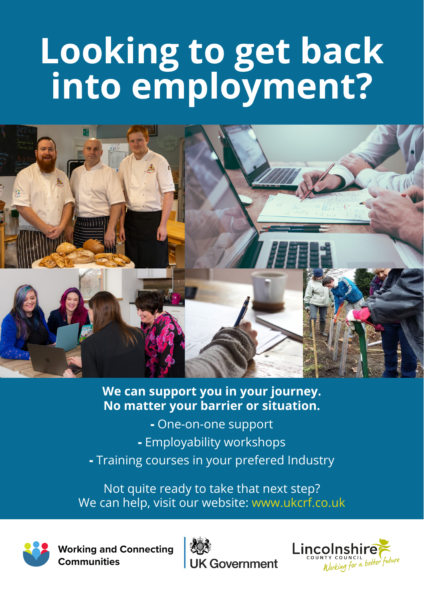# **Looking to get back into employment?**



## **We can support you in your journey. No matter your barrier or situation.**

- One-on-one support
- **-** Employability workshops
- Training courses in your prefered Industry

Not quite ready to take that next step? We can help, visit our website: www.ukcrf.co.uk



**Working and Connecting Communities**